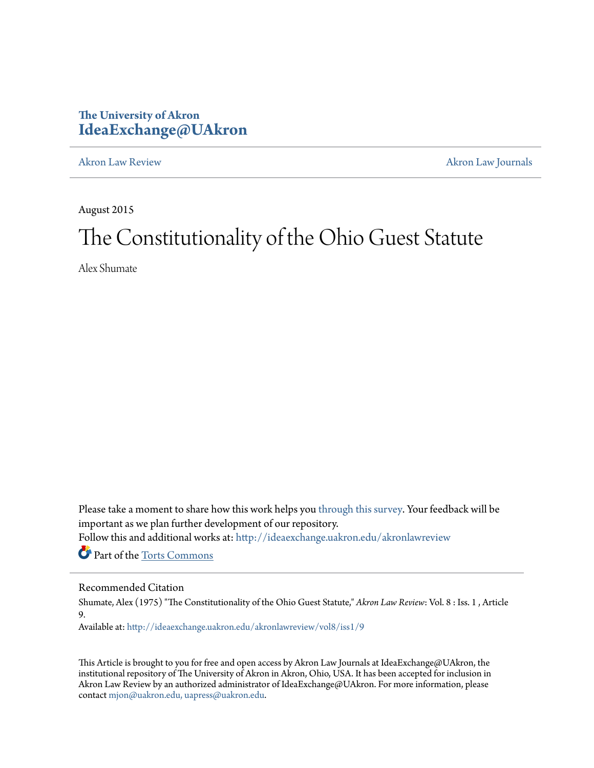# **The University of Akron [IdeaExchange@UAkron](http://ideaexchange.uakron.edu?utm_source=ideaexchange.uakron.edu%2Fakronlawreview%2Fvol8%2Fiss1%2F9&utm_medium=PDF&utm_campaign=PDFCoverPages)**

[Akron Law Review](http://ideaexchange.uakron.edu/akronlawreview?utm_source=ideaexchange.uakron.edu%2Fakronlawreview%2Fvol8%2Fiss1%2F9&utm_medium=PDF&utm_campaign=PDFCoverPages) [Akron Law Journals](http://ideaexchange.uakron.edu/akronlawjournals?utm_source=ideaexchange.uakron.edu%2Fakronlawreview%2Fvol8%2Fiss1%2F9&utm_medium=PDF&utm_campaign=PDFCoverPages)

August 2015

# The Constitutionality of the Ohio Guest Statute

Alex Shumate

Please take a moment to share how this work helps you [through this survey.](http://survey.az1.qualtrics.com/SE/?SID=SV_eEVH54oiCbOw05f&URL=http://ideaexchange.uakron.edu/akronlawreview/vol8/iss1/9) Your feedback will be important as we plan further development of our repository.

Follow this and additional works at: [http://ideaexchange.uakron.edu/akronlawreview](http://ideaexchange.uakron.edu/akronlawreview?utm_source=ideaexchange.uakron.edu%2Fakronlawreview%2Fvol8%2Fiss1%2F9&utm_medium=PDF&utm_campaign=PDFCoverPages)

Part of the [Torts Commons](http://network.bepress.com/hgg/discipline/913?utm_source=ideaexchange.uakron.edu%2Fakronlawreview%2Fvol8%2Fiss1%2F9&utm_medium=PDF&utm_campaign=PDFCoverPages)

# Recommended Citation

Shumate, Alex (1975) "The Constitutionality of the Ohio Guest Statute," *Akron Law Review*: Vol. 8 : Iss. 1 , Article 9.

Available at: [http://ideaexchange.uakron.edu/akronlawreview/vol8/iss1/9](http://ideaexchange.uakron.edu/akronlawreview/vol8/iss1/9?utm_source=ideaexchange.uakron.edu%2Fakronlawreview%2Fvol8%2Fiss1%2F9&utm_medium=PDF&utm_campaign=PDFCoverPages)

This Article is brought to you for free and open access by Akron Law Journals at IdeaExchange@UAkron, the institutional repository of The University of Akron in Akron, Ohio, USA. It has been accepted for inclusion in Akron Law Review by an authorized administrator of IdeaExchange@UAkron. For more information, please contact [mjon@uakron.edu, uapress@uakron.edu.](mailto:mjon@uakron.edu,%20uapress@uakron.edu)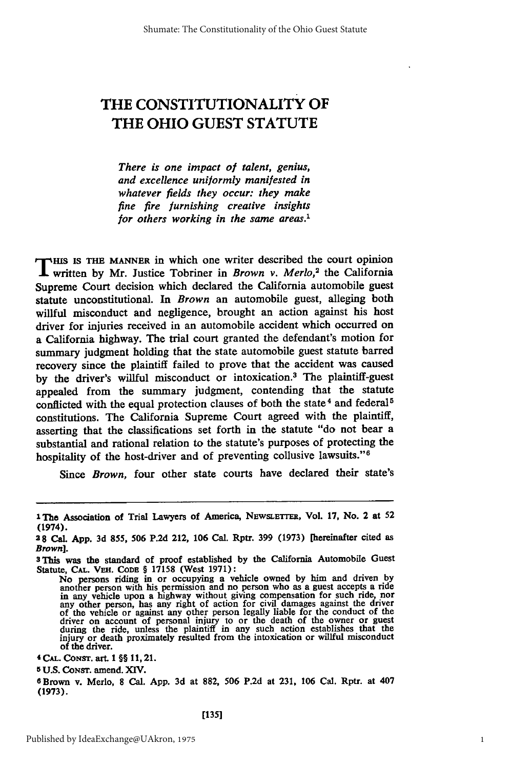# THE **CONSTITUTIONALITY** OF THE OHIO **GUEST STATUTE**

*There is one impact of talent, genius, and excellence uniformly manifested in whatever fields they occur: they make fine fire furnishing creative insights for others working in the same areas.1*

T IS IS **THE MANNER** in which one writer described the court opinion written **by** Mr. Justice Tobriner in *Brown v. Merlo,<sup>2</sup>*the California Supreme Court decision which declared the California automobile guest statute unconstitutional. In *Brown* an automobile guest, alleging both willful misconduct and negligence, brought an action against his host driver for injuries received in an automobile accident which occurred on a California highway. The trial court granted the defendant's motion for summary judgment holding that the state automobile guest statute barred recovery since the plaintiff failed to prove that the accident was caused **by** the driver's willful misconduct or intoxication.3 The plaintiff-guest appealed from the summary judgment, contending that the statute conflicted with the equal protection clauses of both the state<sup>4</sup> and federal<sup>5</sup> constitutions. The California Supreme Court agreed with the plaintiff, asserting that the classifications set forth in the statute "do not bear a substantial and rational relation to the statute's purposes of protecting the hospitality of the host-driver and of preventing collusive lawsuits."<sup>6</sup>

Since *Brown,* four other state courts have declared their state's

**5 U.S. CONST.** amend. **XIV.**

**<sup>1</sup> The** Association of Trial Lawyers of America, **NEWSLETTER, Vol. 17,** No. 2 at **52** (1974).

**<sup>28</sup>** Cal. **App. 3d** 855, **506 P.2d** 212, **106** Cal. Rptr. **399 (1973)** [hereinafter cited as *Brown].*

**s This** was the standard of proof established **by** the California Automobile Guest Statute, **CAL.** VER. **CODE** § **17158** (West **1971):**

No persons riding in or occupying a vehicle owned by him and driven by<br>another person with his permission and no person who as a guest accepts a ride<br>in any vehicle upon a highway without giving compensation for such ride, of the driver.<br>4 CAL. CONST. art. 1 §§ 11, 21.

**<sup>6</sup>** Brown v. Merlo, **8** Cal. **App. 3d** at **882, 506 P.2d** at **231,** 106 Cal. Rptr. at 407 **(1973).**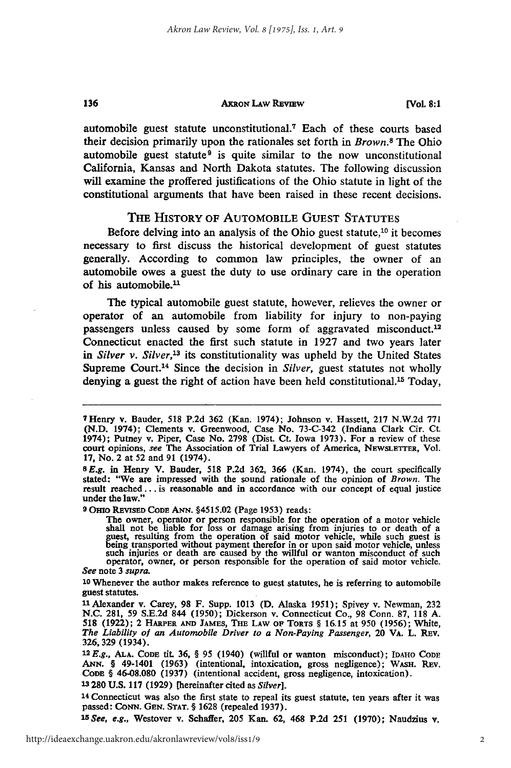#### **ARRON LAW REVIEW**

136

automobile guest statute unconstitutional.<sup>7</sup> Each of these courts based their decision primarily upon the rationales set forth in *Brown.8* The Ohio automobile guest statute<sup>9</sup> is quite similar to the now unconstitutional California, Kansas and North Dakota statutes. The following discussion will examine the proffered justifications of the Ohio statute in light of the constitutional arguments that have been raised in these recent decisions.

### THE HISTORY OF **AUTOMOBILE GUEST STATUTES**

Before delving into an analysis of the Ohio guest statute, $10$  it becomes necessary to first discuss the historical development of guest statutes generally. According to common law principles, the owner of an automobile owes a guest the duty to use ordinary care in the operation of his automobile. $<sup>11</sup>$ </sup>

The typical automobile guest statute, however, relieves the owner or operator of an automobile from liability for injury to non-paying passengers unless caused by some form of aggravated misconduct.<sup>12</sup> Connecticut enacted the first such statute in 1927 and two years later *in Silver v. Silver,13* its constitutionality was upheld by the United States Supreme Court.<sup>14</sup> Since the decision in *Silver*, guest statutes not wholly denying a guest the right of action have been held constitutional.<sup>15</sup> Today,

**9** OHio REviSED CODE **ANN.** §4515.02 (Page 1953) reads:

The owner, operator or person responsible for the operation of a motor vehicle<br>shall not be liable for loss or damage arising from injuries to or death of a<br>guest, resulting from the operation of said motor vehicle, while *See* note **3** *supra.*

**10** Whenever the author makes reference to guest statutes, he is referring to automobile guest statutes.

**13 280 U.S. 117 (1929)** [hereinafter cited as *Silver].*

**<sup>14</sup>**Connecticut was also the first state to repeal its guest statute, ten years after it was passed: **CONN. GEN. STAT.** § **1628** (repealed **1937).**

*15See, e.g.,* Westover v. Schafler, **205** Kan. **62,** 468 **P.2d 251 (1970);** Naudzius **v.**

<sup>7</sup>Henry v. Bauder, 518 P.2d 362 (Kan. 1974); Johnson v. Hassett, 217 N.W.2d 771 (N.D. 1974); Clements v. Greenwood, Case No. 73-C-342 (Indiana Clark Cir. Ct. 1974); Putney v. Piper, Case No. 2798 (Dist. Ct. Iowa 1973). For a review of these court opinions, *see* The Association of Trial Lawyers of America, NEWsLETrER, Vol. **17, No.** 2 at 52 and **91** (1974).

*<sup>8</sup>E.g.* in Henry V. Bauder, **518 P.2d** 362, **366** (Kan. 1974), the court specifically stated: "We are impressed with the sound rationale of the opinion of *Brown.* The result reached... is reasonable and in accordance with our concept of equal justice under the law."

**<sup>11</sup>**Alexander v. Carey, **98** F. Supp. 1013 **(D.** Alaska 1951); Spivey v. Newman, **232 N.C. 281,** 59 S.E.2d 844 (1950); Dickerson v. Connecticut Co., **98** Conn. **87, 118 A. 518 (1922);** 2 **HARPER AND JAMES, THE LAW OF TORTS** § 16.15 at **950** (1956); White, *The Liability of an Automobile Driver to a Non-Paying Passenger,* 20 VA. L. REv. **326, 329** (1934).

**<sup>12</sup>***E.g.,* **ALA. CODE** tit **36,** § **95** (1940) (willful or wanton misconduct); **IDAHO CODE ANN.** § 49-1401 **(1963)** (intentional, intoxication, gross negligence); WASH. REv. **CODE § 46-08.080 (1937)** (intentional accident, gross negligence, intoxication).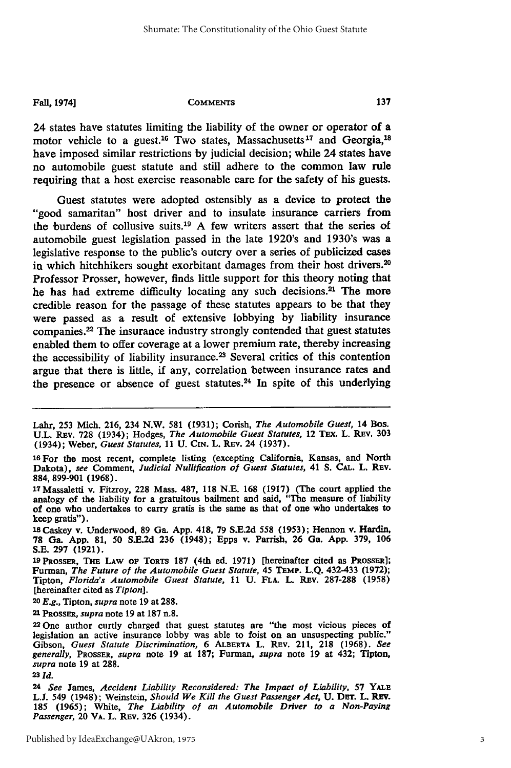**Fall, 1974] COMMENTS**

24 states have statutes limiting the liability of the owner or operator of a motor vehicle to a guest.<sup>16</sup> Two states, Massachusetts<sup>17</sup> and Georgia,<sup>18</sup> have imposed similar restrictions **by** judicial decision; while 24 states have no automobile guest statute and still adhere to the common law rule requiring that a host exercise reasonable care for the safety of his guests.

Guest statutes were adopted ostensibly as a device to protect the "good samaritan" host driver and to insulate insurance carriers from the burdens of collusive suits.<sup>19</sup> A few writers assert that the series of automobile guest legislation passed in the late 1920's and 1930's was a legislative response to the public's outcry over a series of publicized cases in which hitchhikers sought exorbitant damages from their host drivers.<sup>20</sup> Professor Prosser, however, finds little support for this theory noting that he has had extreme difficulty locating any such decisions.<sup>21</sup> The more credible reason for the passage of these statutes appears to be that they were passed as a result of extensive lobbying **by** liability insurance companies.22 The insurance industry strongly contended that guest statutes enabled them to offer coverage at a lower premium rate, thereby increasing the accessibility of liability insurance.23 Several critics of this contention argue that there is little, if any, correlation between insurance rates and the presence or absence of guest statutes.<sup>24</sup> In spite of this underlying

<sup>20</sup>*E.g.,* Tipton, *supra* note **19** at **288.**

<sup>21</sup>*PROSSER, supra* note **19** at **187** n.8.

Lahr, **253** Mich. **216,** 234 N.W. **581 (1931);** Corish, *The Automobile Guest,* 14 Bos. **U.L.** REv. **728** (1934); Hodges, *The Automobile Guest Statutes,* 12 TEx. L. REv. **303** (1934); Weber, *Guest Statutes,* **11 U. CN.** L. REv. 24 **(1937).**

**<sup>16</sup>**For the most recent, complete listing (excepting California, Kansas, and North Dakota), *see* Comment, *Judicial Nullification of Guest Statutes,* 41 **S. CAL.** L. **Rav. 884, 899-901 (1968).**

<sup>17</sup>Massaletti v. Fitzroy, **228** Mass. **487, 118 N.E. 168 (1917)** (The court applied the analogy of the liability for a gratuitous bailment and said, "The measure of liability of one who undertakes to carry gratis is the same as that of one who undertakes to keep gratis").

**<sup>1</sup>l** Caskey v. Underwood, **89** Ga. **App.** 418, **79 S.E.2d 558 (1953);** Hennon v. Hardin, **78** Ga. **App. 81, 50 SXE.2d** 236 (1948); Epps v. Parrish, 26 Ga. **App. 379, 106 S.E. 297 (1921).**

<sup>19</sup>PRossER, Tie LAW OF TORTS **187** (4th ed. **1971)** [hereinafter cited as PROSSER]; Furman, *The Future of the Automobile Guest Statute,* 45 TEMP. **L.Q.** 432-433 **(1972);** Tipton, *Florida's Automobile Guest Statute,* **11 U. FLA.** L. Rav. **287-288 (1958)** [hereinafter cited as *Tipton].*

<sup>22</sup> One author curtly charged that guest statutes are "the most vicious pieces of legislation an active insurance lobby was able to foist on an unsuspecting public." Gibson, *Guest Statute Discrimination,* 6 ALBERTA L. REv. 211, **218 (1968).** *See generally, PROssER, supra* note **19** at **187;** Furman, *supra* note 19 at 432; Tipton, *supra* note **19** at **288.**

**<sup>23</sup>** *Id.*

**<sup>24</sup>***See* James, *Accident Liability Reconsidered: The Impact of Liability,* **57** YALE **L.J.** 549 (1948); Weinstein, *Should We Kill the Guest Passenger Act,* **U.** DET. L. REv. **185 (1965);** White, *The Liability of an Automobile Driver to a Non-Paying Passenger,* 20 VA. L. REv. **326** (1934).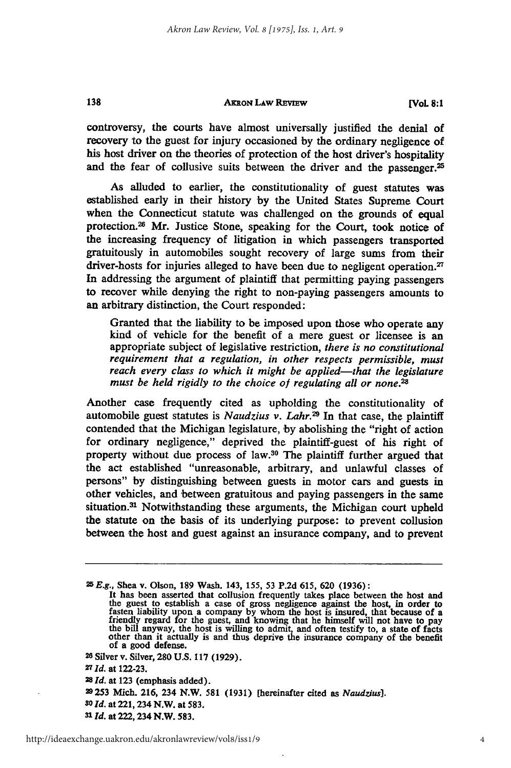#### **AKRON LAW REVEw**

**[VOL 8: 1**

controversy, the courts have almost universally justified the denial of recovery to the guest for injury occasioned **by** the ordinary negligence of his host driver on the theories of protection of the host driver's hospitality and the fear of collusive suits between the driver and the passenger.<sup>25</sup>

As alluded to earlier, the constitutionality of guest statutes was established early in their history **by** the United States Supreme Court when the Connecticut statute was challenged on the grounds of equal protection.<sup>26</sup> Mr. Justice Stone, speaking for the Court, took notice of the increasing frequency of litigation in which passengers transported gratuitously in automobiles sought recovery of large sums from their driver-hosts for injuries alleged to have been due to negligent operation.<sup>27</sup> In addressing the argument of plaintiff that permitting paying passengers to recover while denying the right to non-paying passengers amounts to an arbitrary distinction, the Court responded:

Granted that the liability to be imposed upon those who operate any kind of vehicle for the benefit of a mere guest or licensee is an appropriate subject of legislative restriction, *there is no constitutional requirement that a regulation, in other respects permissible, must reach every class to which it might be applied-that the legislature must be held rigidly to the choice* of *regulating all or none.2,*

Another case frequently cited as upholding the constitutionality of automobile guest statutes is *Naudzius v. Lahr.29* In that case, the plaintiff contended that the Michigan legislature, by abolishing the "right of action for ordinary negligence," deprived the plaintiff-guest of his right of property without due process of law.<sup>30</sup> The plaintiff further argued that the act established "unreasonable, arbitrary, and unlawful classes of persons" **by** distinguishing between guests in motor cars and guests in other vehicles, and between gratuitous and paying passengers in the same situation.<sup>31</sup> Notwithstanding these arguments, the Michigan court upheld the statute on the basis of its underlying purpose: to prevent collusion between the host and guest against an insurance company, and to prevent

**<sup>26</sup>**Silver **v.** Silver, **280 U.S. 117 (1929).**

**27** *Id.* at **122-23.**

138

**<sup>25</sup>***E.g.,* Shea v. Olson, 189 Wash. 143, 155, 53 P.2d 615, 620 (1936):

It has been asserted that collusion frequently takes place between the host and the guest to establish a case of gross negligence against the host, in order to the guest to establish a case of gross negligence against the host, in order to fasten liability upon a company by whom the host is insured, t of a good defense.

**<sup>28</sup>***Id.* at **123** (emphasis added).

**<sup>29253</sup>** Mich. **216,** 234 N.W. **581 (1931)** [hereinafter cited as *Naudzius].*

*so* **ld.** at 221, 234 N.W. at **583.**

*Sl* **Id.** at 222,234 N.W. **583.**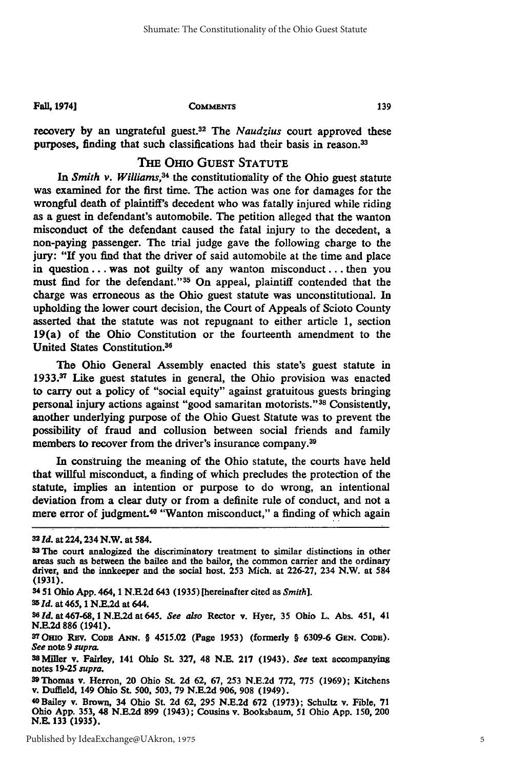**Fall, 19741**

**COMMENTS**

recovery **by** an ungrateful guest.32 The *Naudzius* court approved these purposes, finding that such classifications had their basis in reason.<sup>33</sup>

# **THE** OHlo GUEST **STATUTE**

In *Smith v. Williams*,<sup>34</sup> the constitutionality of the Ohio guest statute was examined for the first time. The action was one for damages for the wrongful death of plaintiff's decedent who was fatally injured while riding as a guest in defendant's automobile. The petition alleged that the wanton misconduct of the defendant caused the fatal injury to the decedent, a non-paying passenger. The trial judge gave the following charge to the jury: "If you find that the driver of said automobile at the time and place in question... was not guilty of any wanton misconduct... then you must find for the defendant."<sup>35</sup> On appeal, plaintiff contended that the charge was erroneous as the Ohio guest statute was unconstitutional. In upholding the lower court decision, the Court of Appeals of Scioto County asserted that the statute was not repugnant to either article **1,** section 19(a) of the Ohio Constitution or the fourteenth amendment to the United States Constitution.36

The Ohio General Assembly enacted this state's guest statute in **1933.37** Like guest statutes in general, the Ohio provision was enacted to carry out a policy of "social equity" against gratuitous guests bringing personal injury actions against "good samaritan motorists."<sup>38</sup> Consistently, another underlying purpose of the Ohio Guest Statute was to prevent the possibility of fraud and collusion between social friends and family members to recover from the driver's insurance company.<sup>39</sup>

In construing the meaning of the Ohio statute, the courts have held that willful misconduct, a finding of which precludes the protection of the statute, implies an intention or purpose to do wrong, an intentional deviation from a clear duty or from a definite rule of conduct, and not a mere error of judgment.<sup>40</sup> "Wanton misconduct," a finding of which again

3451 Ohio App. 464, 1 **N.E.2d** 643 (1935) [hereinafter cited as *Smith].*

**<sup>32</sup>***Id.* at 224,234 N.W. at 584.

**<sup>33</sup> The** court analogized the discriminatory treatment to similar distinctions in other areas such as between the bailee and the bailor, the common carrier and the ordinary driver, and the innkeeper and the social host. **253** Mich. at **226-27,** 234 N.W. at 584 **(1931).**

**<sup>35</sup>***Id.* at 465, 1 **N.E.2d** at 644. *36 Id.* at 467-68,1 **N.E.2d** at 645. *See also* Rector v. Hyer, **35** Ohio L. Abs. 451, 41 **N.E.2d 886** (1941).

**<sup>37</sup> Omo** REv. CODE **ANN.** § 4515.02 (Page **1953)** (formerly § **6309-6 GEN.** CODE). *See* note **9** *supra.*

S8Miller v. Fairley, 141 Ohio **St. 327,** 48 **N.E. 217** (1943). *See* text accompanying notes **19-25** *supra.*

<sup>9</sup> Thomas v. Herron, 20 Ohio **St. 2d 62, 67, 253 N.E.2d 772, 775 (1969);** Kitchens v. Duffield, 149 Ohio St. **500, 503, 79 N.E.2d 906, 908** (1949).

<sup>40</sup>Bailey v. Brown, 34 Ohio **St. 2d 62, 295 N.E.2d 672 (1973);** Schultz v. Fible, **71** Ohio **App.** 353, 48 **N.E.2d 899** (1943); Cousins v. Booksbaum, **51** Ohio **App. 150,** 200 **N.E.** 133 **(1935).**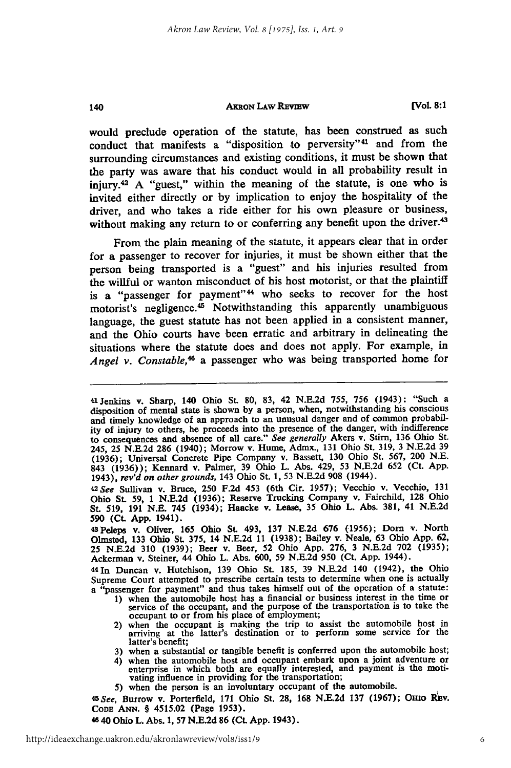#### **AKRON LAW REVIEW**

140

**[Vol 8:1**

would preclude operation of the statute, has been construed as such conduct that manifests a "disposition to perversity"<sup>41</sup> and from the surrounding circumstances and existing conditions, it must be shown that the party was aware that his conduct would in all probability result in injury.<sup>42</sup> A "guest," within the meaning of the statute, is one who is invited either directly or by implication to enjoy the hospitality of the driver, and who takes a ride either for his own pleasure or business, without making any return to or conferring any benefit upon the driver.<sup>43</sup>

From the plain meaning of the statute, it appears clear that in order for a passenger to recover for injuries, it must be shown either that the person being transported is a "guest" and his injuries resulted from the willful or wanton misconduct of his host motorist, or that the plaintiff is a "passenger for payment"<sup>44</sup> who seeks to recover for the host motorist's negligence.<sup>45</sup> Notwithstanding this apparently unambiguous language, the guest statute has not been applied in a consistent manner, and the Ohio courts have been erratic and arbitrary in delineating the situations where the statute does and does not apply. For example, in Angel v. Constable,<sup>46</sup> a passenger who was being transported home for

4In Duncan v. Hutchison, 139 Ohio St. 185, 39 N.E.2d 140 (1942), the Ohio Supreme Court attempted to prescribe certain tests to determine when one is actually a "passenger for payment" and thus takes himself out of the operation of a statute:

- **1)** when the automobile host has a financial or business interest in the time or service of the occupant, and the purpose of the transportation is to take the occupant to or from his place of employment;
- 2) when the occupant is making the trip to assist the automobile host in arriving at the latter's destination or to perform some service for the latter's benefit;
- **3)** when a substantial or tangible benefit is conferred upon the automobile host;
- 4) when the automobile host and occupant embark upon a joint adventure or enterprise in which both are equally interested, and payment is the motivating influence in providing for the transportation;
- **5)** when the person is an involuntary occupant of the automobile.

*45See,* Burrow v. Porterfield, **171** Ohio St. **28, 168 N.E.2d 137 (1967);** Onto REv. CoDE **ANN.** § 4515.02 (Page **1953).**

**4840** Ohio L. Abs. **1, 57 N.E.2d 86** (Ct. **App.** 1943).

<sup>41</sup>Jenkins v. Sharp, 140 Ohio St. **80,** 83, 42 N.E.2d 755, **756** (1943): "Such a disposition of mental state is shown **by** a person, when, notwithstanding his conscious and timely knowledge of an approach to an unusual danger and of common probability of injury to others, he proceeds into the presence of the danger, with indifference to consequences and absence of all care." *See generally* Akers v. Stirn, **136** Ohio **St.** 245, **25 N.E\_2d 286** (1940); Morrow v. Hume, Admx., **131** Ohio St. **319, 3 N.E.2d 39 (1936);** Universal Concrete Pipe Company v. Bassett, **130** Ohio St. **567,** 200 **N.E.** 843 **(1936));** Kennard v. Palmer, **39** Ohio L. Abs. 429, **53 N.E.2d 652** (Ct. **App.** 1943), *rev'd on other grounds,* 143 Ohio St. **1, 53 N.E.2d 908** (1944).

*<sup>42</sup>See* Sullivan v. Bruce, **250 F.2d** 453 (6th Cir. **1957);** Vecchio v. Vecchio, **<sup>131</sup>** Ohio **St. 59,** 1 **N.E.2d (1936);** Reserve Trucking Company v. Fairchild, **128** Ohio St. 519, 191 **N.E.** 745 (1934); Haacke v. Lease, 35 Ohio L. Abs. 381, 41 N.E.2d 590 (Ct. **App.** 1941).

<sup>43</sup>Peleps v. Oliver, **165** Ohio St. 493, 137 N.E.2d **676** (1956); Dorn v. North Olmsted, 133 Ohio St. 375, 14 N.E.2d 11 (1938); Bailey v. Neale, 63 Ohio **App.** 62, **25** N.E.2d 310 (1939); Beer v. Beer, 52 Ohio **App.** 276, 3 N.E.2d 702 (1935); Ackerman v. Steiner, 44 Ohio L. Abs. 600, 59 N.E.2d 950 (Ct. App. 1944).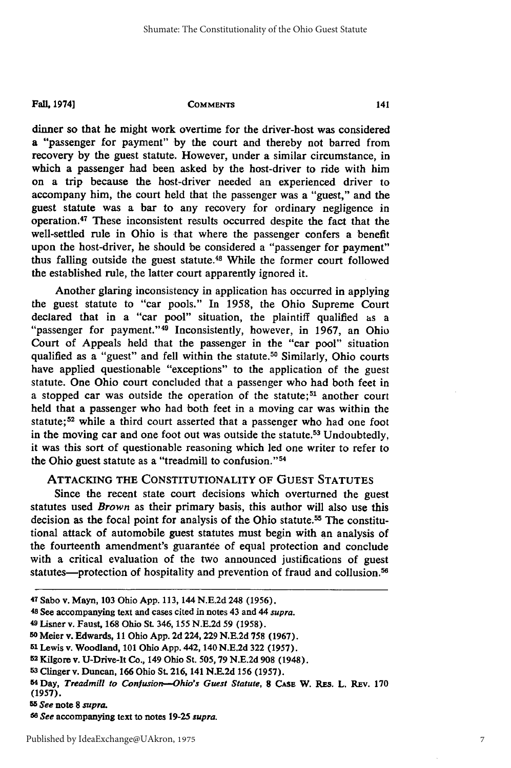#### **Fall, 1974]**

#### **COMMENTS**

dinner so that he might work overtime for the driver-host was considered a "passenger for payment" by the court and thereby not barred from recovery by the guest statute. However, under a similar circumstance, in which a passenger had been asked by the host-driver to ride with him on a trip because the host-driver needed an experienced driver to accompany him, the court held that the passenger was a "guest," and the guest statute was a bar to any recovery for ordinary negligence in operation. 47 These inconsistent results occurred despite the fact that the well-settled rule in Ohio is that where the passenger confers a benefit upon the host-driver, he should be considered a "passenger for payment" thus falling outside the guest statute.48 While the former court followed the established rule, the latter court apparently ignored it.

Another glaring inconsistency in application has occurred in applying the guest statute to "car pools." In 1958, the Ohio Supreme Court declared that in a "car pool" situation, the plaintiff qualified as a "passenger for payment." <sup>49</sup> Inconsistently, however, in 1967, an Ohio Court of Appeals held that the passenger in the "car pool" situation qualified as a "guest" and fell within the statute.<sup>50</sup> Similarly, Ohio courts have applied questionable "exceptions" to the application of the guest statute. One Ohio court concluded that a passenger who had both feet in a stopped car was outside the operation of the statute;<sup>51</sup> another court held that a passenger who had 'both feet in a moving car was within the statute;<sup>52</sup> while a third court asserted that a passenger who had one foot in the moving car and one foot out was outside the statute.<sup>53</sup> Undoubtedly, it was this sort of questionable reasoning which led one writer to refer to the Ohio guest statute as a "treadmill to confusion."<sup>54</sup>

# ATTACKING **THE** CONSTITUTIONALITY OF **GUEST STATUTES**

Since the recent state court decisions which overturned the guest statutes used *Brown* as their primary basis, this author will also use this decision as the focal point for analysis of the Ohio statute.<sup>55</sup> The constitutional attack of automobile guest statutes must begin with an analysis of the fourteenth amendment's guarantee of equal protection and conclude with a critical evaluation of the two announced justifications of guest statutes—protection of hospitality and prevention of fraud and collusion.<sup>56</sup>

**<sup>47</sup>**Sabo **v.** Mayn, **103** Ohio **App.** 113, 144 **N.E.2d 248 (1956).**

**<sup>48</sup>**See accompanying text and cases cited **in notes** 43 **and** 44 **supra.**

**<sup>49</sup> Lisner v.** Faust, **168 Ohio St. 346, 155 N.E.2d 59 (1958). 5o** Meier v. Edwards, **11** Ohio **App. 2d** 224,229 **N.E.2d 758 (1967).**

**<sup>51</sup> Lewis v. Woodland, 101 Ohio App. 442, 140 N.E.2d 322 (1957).**

**<sup>52</sup> Kilgore v. U-Drive-It Co., 149 Ohio St. 505, 79 N.E.2d 908 (1948).**

**<sup>53</sup> Clinger v. Duncan, 166 Ohio St. 216, 141 N.E.2d 156 (1957).**

**<sup>54</sup> Day,** *Treadmill to Confusion-Ohio's Guest Statute,* **8 CASE W. REs. L. REv. 170 (1957).**

*<sup>55</sup> See* **note 8** *supra.*

*<sup>5</sup> <sup>6</sup> See* **accompanying text to notes 19-25** *supra.*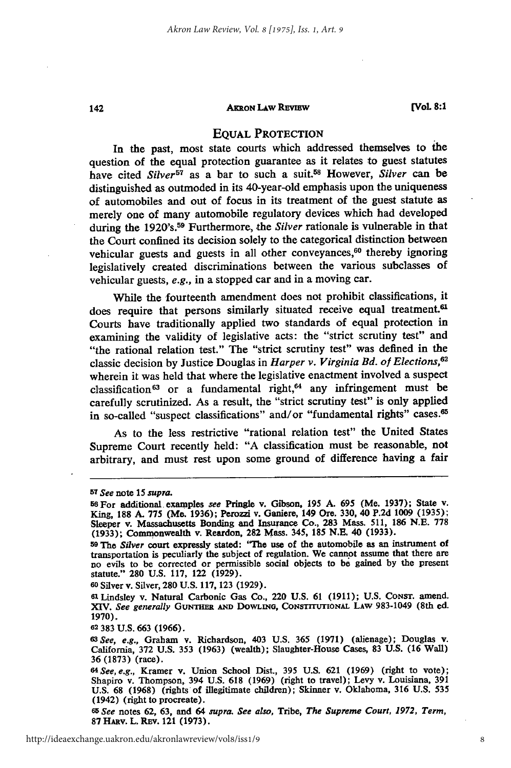#### **AKRON LAw REVIEw**

## **EQUAL** PROTECTION

In the past, most state courts which addressed themselves to the question of the equal protection guarantee as it relates to guest statutes have cited *Silver*<sup>57</sup> as a bar to such a suit.<sup>58</sup> However, *Silver* can be distinguished as outmoded in its 40-year-old emphasis upon the uniqueness of automobiles and out of focus in its treatment of the guest statute as merely one of many automobile regulatory devices which had developed during the 1920's.<sup>59</sup> Furthermore, the *Silver* rationale is vulnerable in that the Court confined its decision solely to the categorical distinction between vehicular guests and guests in all other conveyances,<sup>60</sup> thereby ignoring legislatively created discriminations between the various subclasses of vehicular guests, *e.g.,* in a stopped car and in a moving car.

While the fourteenth amendment does not prohibit classifications, it does require that persons similarly situated receive equal treatment.<sup>61</sup> Courts have traditionally applied two standards of equal protection in examining the validity of legislative acts: the "strict scrutiny test" and "the rational relation test." The "strict scrutiny test" was defined in the classic decision by Justice Douglas in *Harper v. Virginia Bd. of Elections,62* wherein it was held that where the legislative enactment involved a suspect classification<sup>63</sup> or a fundamental right,<sup>64</sup> any infringement must be carefully scrutinized. As a result, the "strict scrutiny test" is only applied in so-called "suspect classifications" and/or "fundamental rights" cases.<sup>65</sup>

As to the less restrictive "rational relation test" the United States Supreme Court recently held: "A classification must be reasonable, not arbitrary, and must rest upon some ground of difference having a fair

142

**60** Silver **v.** Silver, **280 U.S. 117,123 (1929).**

*<sup>65</sup>See* notes **62, 63,** and 64 *supra. See also,* Tribe, *The Supreme Court, 1972, Term,* **87** Hutv. L. REv. 121 **(1973).**

**<sup>57</sup>***See* note 15 *supra.*

**<sup>5</sup>s** For additional examples *see* Pringle **v.** Gibson, **195 A.** 695 (Me. **1937);** State v. King, **188 A. 775** (Me. **1936);** Perozzi **v.** Ganiere, 149 Ore. 330, 40 **P.2d 1009** (1935); Sleeper **v.** Massachusetts Bonding and Insurance Co., **283** Mass. 511, **186 N.E. 778 (1933);** Commonwealth v. Reardon, **282** Mass. 345, **185 N.E.** 40 **(1933).**

**<sup>59</sup>**The *Silver* court expressly stated: **"The** use of the automobile as an instrument of transportation is peculiarly the subject of regulation. We cannot assume that there are no evils to be corrected or permissible social objects to **be** gained **by** the present statute." **280 U.S. 117,** 122 **(1929).**

<sup>6</sup>lLindsley **v.** Natural Carbonic Gas Co., 220 **U.S. 61 (1911); U.S.** CoNsT. amend. XIV. *See generally* **GuNTHER AND DOWLING, CONSTrrtrIONAL LAW 983-1049** (8th ed. **1970).**

**<sup>62 383</sup> U.S. 663 (1966).**

*<sup>63</sup>See, e.g.,* Graham v. Richardson, 403 **U.S. 365 (1971)** (alienage); Douglas v. California, **372 U.S. 353 (1963)** (wealth); Slaughter-House Cases, **83 U.S. (16** Wall) **36 (1873)** (race). *<sup>64</sup> See, e.g.,* Kramer v. Union School Dist., **395 U.S. 621 (1969)** (right to vote);

Shapiro v. Thompson, 394 **U.S. 618 (1969)** (right to travel); Levy v. Louisiana, **391 U.S. 68 (1968)** (rights of illegitimate children); Skinner v. Oklahoma, **316 U.S.** 535 (1942) (right to procreate).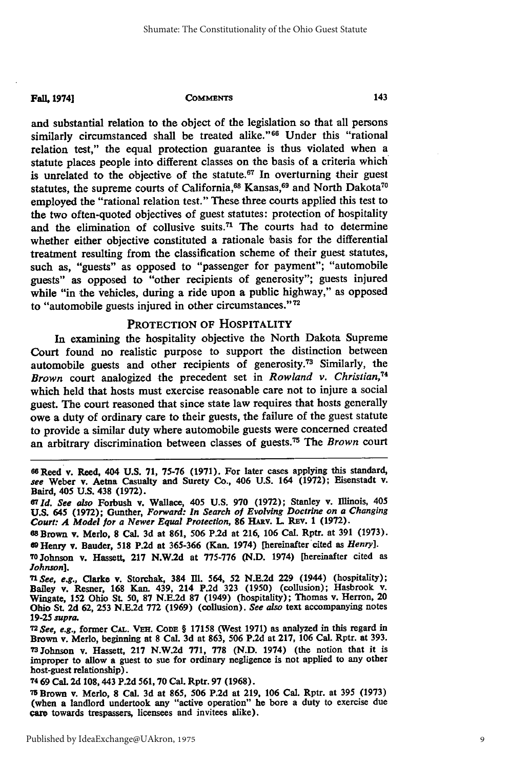#### **Fall, 1974] COMMENTS**

and substantial relation to the object of the legislation so that all persons similarly circumstanced shall be treated alike."<sup>66</sup> Under this "rational relation test," the equal protection guarantee is thus violated when a statute places people into different classes on the basis of a criteria which is unrelated to the objective of the statute.<sup>67</sup> In overturning their guest statutes, the supreme courts of California,<sup>68</sup> Kansas,<sup>69</sup> and North Dakota<sup>7</sup> employed the "rational relation test." These three courts applied this test to the two often-quoted objectives of guest statutes: protection of hospitality and the elimination of collusive suits.<sup>71</sup> The courts had to determine whether either objective constituted a rationale basis for the differential treatment resulting from the classification scheme of their guest statutes, such as, "guests" as opposed to "passenger for payment"; "automobile guests" as opposed to "other recipients of generosity"; guests injured while "in the vehicles, during a ride upon a public highway," as opposed to "automobile guests injured in other circumstances."<sup>72</sup>

## PROTECTION OF HOSPITALITY

In examining the hospitality objective the North Dakota Supreme Court found no realistic purpose to support the distinction between automobile guests and other recipients of generosity.73 Similarly, the *Brown* court analogized the precedent set in *Rowland v. Christian,74* which held that hosts must exercise reasonable care not to injure a social guest. The court reasoned that since state law requires that hosts generally owe a duty of ordinary care to their guests, the failure of the guest statute to provide a similar duty where automobile guests were concerned created an arbitrary discrimination between classes of guests. 75 The *Brown* court

<sup>74</sup>**69** Cal. **2d 108,443 P.2d 561, 70** Cal. Rptr. **97 (1968).**

**<sup>75</sup>**Brown v. Merlo, **8** Cal. **3d** at **865, 506 P.2d** at **219, 106** Cal. Rptr. at **395 (1973)** (when a landlord undertook any "active operation" he bore a duty to exercise due care towards trespassers, licensees and invitees alike).

**<sup>66</sup>**Reed v. Reed, 404 **U.S. 71, 75-76 (1971).** For later cases applying this standard, **see** Weber v. Aetna Casualty and Surety Co., 406 **U.S.** 164 **(1972);** Eisenstadt v. Baird, 405 **U.S.** 438 **(1972).**

**<sup>67</sup>***Id. See also* Forbush v. Wallace, 405 **U.S. 970 (1972);** Stanley v. Illinois, 405 **U.S.** 645 **(1972);** Gunther, *Forward: In* **Search of** *Evolving Doctrine on a Changing Court: A Model for a Newer Equal Protection,* **86** HAv. L REv. **1 (1972).**

**<sup>68</sup>**Brown v. Merlo, **8** Cal. **3d** at **861, 506 P.2d** at **216, 106** Cal. Rptr. at **391 (1973). <sup>09</sup>**Henry v. Bauder, **518 P.2d** at **365-366** (Kan. 1974) [hereinafter cited as *Henry].*

**<sup>70</sup>Johnson** v. Hassett, **217 N.W.2d** at **775-776 (N.D.** 1974) [hereinafter cited as *Johnson].*

**<sup>71</sup>***See, e.g.,* Clarke v. Storchak, 384 I1. 564, **52 N.E.2d 229** (1944) (hospitality); Bailey v. Resner, **168** Kan. 439, 214 **P.2d 323 (1950)** (collusion); Hasbrook **v.** Wingate, **152** Ohio **St. 50, 87 N.E.2d 87** (1949) (hospitality); Thomas v. Herron, 20 Ohio St. **2d 62, 253 N.E.2d 772 (1969)** (collusion). *See also* text accompanying notes **19-25** *supra. <sup>7</sup> <sup>2</sup>*

*See,* **e.g.,** former **CAL. VEH. CODE** § **17158** (West **1971)** as analyzed in this regard **in** Brown v. Merlo, beginning at **8** Cal. **3d** at **863, 506 P.2d** at **217, 106** Cal. Rptr. at **393. 7 3 Johnson** v. Hassett, **217 N.W.2d 771, 778 (N.D.** 1974) (the notion that it is improper to allow a guest to sue for ordinary negligence is not applied to any other host-guest relationship).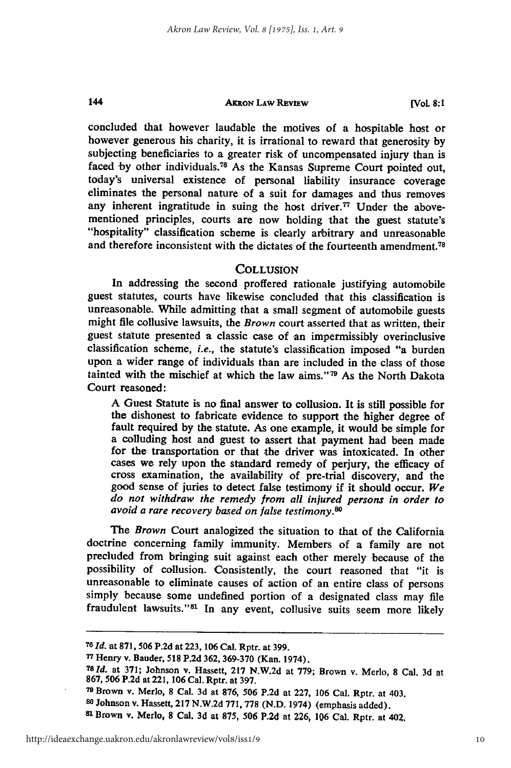144

#### **AKRON LAW REVIEW**

**[VOL 8:1**

concluded that however laudable the motives of a hospitable host or however generous his charity, it is irrational to reward that generosity **by** subjecting beneficiaries to a greater risk of uncompensated injury than is faced by other individuals.<sup>76</sup> As the Kansas Supreme Court pointed out, today's universal existence of personal liability insurance coverage eliminates the personal nature of a suit for damages and thus removes any inherent ingratitude in suing the host driver.<sup>77</sup> Under the abovementioned principles, courts are now holding that the guest statute's "hospitality" classification scheme is clearly arbitrary and unreasonable and therefore inconsistent with the dictates of the fourteenth amendment.<sup>78</sup>

# **COLLUSION**

In addressing the second proffered rationale justifying automobile guest statutes, courts have likewise concluded that this classification is unreasonable. While admitting that a small segment of automobile guests might file collusive lawsuits, the *Brown* court asserted that as written, their guest statute presented a classic case of an impermissibly overinclusive classification scheme, *i.e.,* the statute's classification imposed "a burden upon a wider range of individuals than are included in the class of those tainted with the mischief at which the law aims." 79 As the North Dakota Court reasoned:

A Guest Statute is no final answer to collusion. It is still possible for the dishonest to fabricate evidence to support the higher degree of fault required by the statute. As one example, it would be simple for a colluding host and guest to assert that payment had been made for the transportation or that the driver was intoxicated. In other cases we rely upon the standard remedy of perjury, the efficacy of cross examination, the availability of pre-trial discovery, and the good sense of juries to detect false testimony **if** it should occur. *We do not withdraw the remedy from all injured persons in order to avoid a rare recovery based on false testimony.80*

The *Brown* Court analogized the situation to that of the California doctrine concerning family immunity. Members of a family are not precluded from bringing suit against each other merely because of the possibility of collusion. Consistently, the court reasoned that "it is unreasonable to eliminate causes of action of an entire class of persons simply because some undefined portion of a designated class may file fraudulent lawsuits."<sup>81</sup> In any event, collusive suits seem more likely

*<sup>76</sup>Id.* at **871,** 506 P.2d at 223, 106 Cal. Rptr. at 399.

**<sup>77</sup>**Henry v. Bauder, **518 P.2d** 362, 369-370 (Kan. 1974).

*<sup>781</sup>d.* at 371; Johnson **v.** Hassett, **217** N.W.2d at 779; Brown v. Merlo, **8** Cal. **3d** at 867, 506 P.2d at 221, **106** Cal. Rptr. at 397.

**<sup>79</sup>**Brown v. Merlo, **8** Cal. 3d at 876, 506 P.2d at 227, 106 Cal. Rptr. at 403,

**<sup>80</sup>**Johnson **v.** Hassett, **217** N.W.2d 771, **778** (N.D. 1974) (emphasis added).

**<sup>81</sup>**Brown v. Merlo, **8** Cal. **3d** at **875, 506 P.2d** at **226, 106** Cal. Rptr. at 402,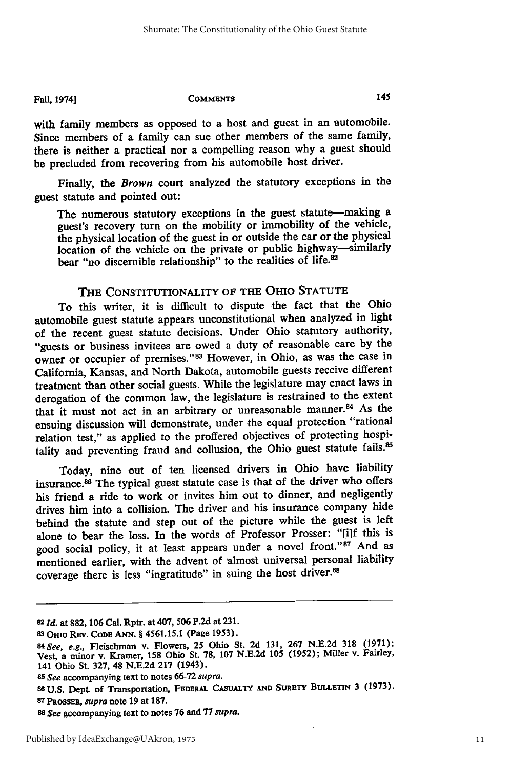#### Fall, 1974] **COMMENTS**

with family members as opposed to a host and guest in an automobile. Since members of a family can sue other members of the same family, there is neither a practical nor a compelling reason why a guest should be precluded from recovering from his automobile host driver.

Finally, the *Brown* court analyzed the statutory exceptions in the guest statute and pointed out:

The numerous statutory exceptions in the guest statute-making a guest's recovery turn on the mobility or immobility of the vehicle, the physical location of the guest in or outside the car or the physical location of the vehicle on the private or public highway--similarly bear "no discernible relationship" to the realities of life.<sup>82</sup>

# THE CONSTITUTIONALITY OF **THE** OHIO **STATUTE**

To this writer, it is difficult to dispute the fact that the Ohio automobile guest statute appears unconstitutional when analyzed in light of the recent guest statute decisions. Under Ohio statutory authority, "guests or business invitees are owed a duty of reasonable care **by** the owner or occupier of premises." 83 However, in Ohio, as was the case in California, Kansas, and North Dakota, automobile guests receive different treatment than other social guests. While the legislature may enact laws in derogation of the common law, the legislature is restrained to the extent that it must not act in an arbitrary or unreasonable manner.<sup>84</sup> As the ensuing discussion will demonstrate, under the equal protection "rational relation test," as applied to the proffered objectives **of** protecting hospitality and preventing fraud and collusion, the Ohio guest statute fails.<sup>85</sup>

Today, nine out of ten licensed drivers in Ohio have liability insurance.83 The typical guest statute case is that of the driver who offers his friend a ride to work or invites him out to dinner, and negligently drives him into a collision. The driver and his insurance company hide behind the statute and step out of the picture while the guest is left alone to bear the loss. In the words of Professor Prosser: "[i]f this is good social policy, it at least appears under a novel front."<sup>87</sup> And as mentioned earlier, with the advent of almost universal personal liability coverage there is less "ingratitude" in suing the host driver.83

145

**<sup>82</sup>***Id.* at **882, 106** Cal. Rptr. at 407, **506 P.2d** at **231.**

**<sup>3</sup> Omio REv. CODE ANN.** § 4561.15.1 (Page **1953).**

*<sup>84</sup>See, e.g.,* Fleischman v. Flowers, **25** Ohio St. **2d 131, 267 N.E.2d 318 (1971);** Vest, a minor v. Kramer, **158** Ohio **St. 78, 107 N.E.2d 105 (1952);** Miller v. Fairley, 141 Ohio St. **327,** 48 **N.E.2d 217** (1943).

*<sup>85</sup> See* accompanying text to notes **66-72** *supra.*

**<sup>88</sup> U.S.** Dept. of Transportation, FEDERAL **CASUALTY** AND **SURETY BULLETrN 3 (1973). 87 PROSSER,** *supra* note **19** at **187.**

**<sup>88</sup>***See* accompanying text to notes **76** and **77** *supra.*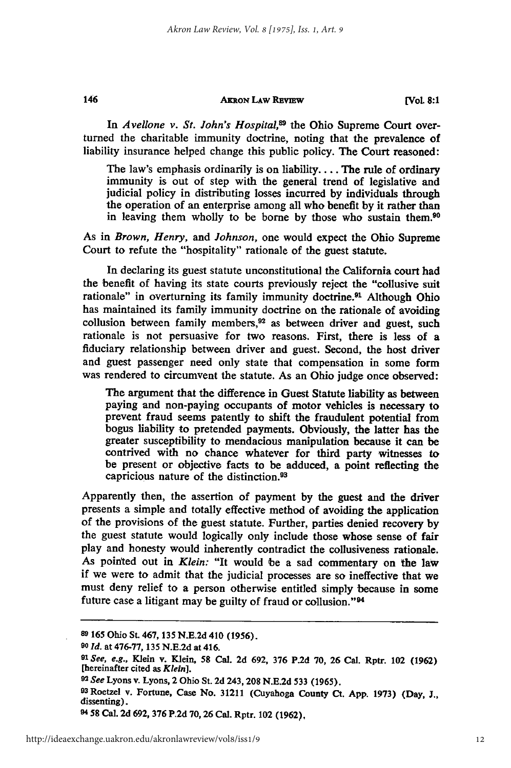#### **AKRON LAw REvIEw**

**[Vol 8:1**

In Avellone v. St. John's Hospital,<sup>89</sup> the Ohio Supreme Court overturned the charitable immunity doctrine, noting that the prevalence of liability insurance helped change this public policy. The Court reasoned:

The law's emphasis ordinarily is on liability.... The rule of ordinary immunity is out of step with the general trend of legislative and judicial policy in distributing losses incurred by individuals through the operation of an enterprise among all who benefit by it rather than in leaving them wholly to be borne by those who sustain them.<sup>90</sup>

As in *Brown, Henry, and Johnson,* one would expect the Ohio Supreme Court to refute the "hospitality" rationale of the guest statute.

In declaring its guest statute unconstitutional the California court had the benefit of having its state courts previously reject the "collusive suit rationale" in overturning its family immunity doctrine.<sup>91</sup> Although Ohio has maintained its family immunity doctrine on the rationale of avoiding collusion between family members,<sup>92</sup> as between driver and guest, such rationale is not persuasive for two reasons. First, there is less of a fiduciary relationship between driver and guest. Second, the host driver and guest passenger need only state that compensation in some form was rendered to circumvent the statute. As an Ohio judge once observed:

The argument that the difference in Guest Statute liability as between paying and non-paying occupants of motor vehicles is necessary to prevent fraud seems patently to shift the fraudulent potential from bogus liability to pretended payments. Obviously, the latter has the greater susceptibility to mendacious manipulation because it can be contrived with no chance whatever for third party witnesses to be present or objective facts to be adduced, a point reflecting the capricious nature of the distinction.<sup>93</sup>

Apparently then, the assertion of payment by the guest and the driver presents a simple and totally effective method of avoiding the application of the provisions of the guest statute. Further, parties denied recovery by the guest statute would logically only include those whose sense of fair play and honesty would inherently contradict the collusiveness rationale. As pointed out in *Klein:* "It would be a sad commentary on the law if we were to admit that the judicial processes are so ineffective that we must deny relief to a person otherwise entitled simply because in some future case a litigant may be guilty of fraud or collusion."<sup>94</sup>

146

**<sup>89 165</sup>** Ohio St. 467, 135 **N.E.2d** 410 (1956).

*<sup>90</sup> Id.* at 476-77, 135 **N.E.2d** at 416.

*<sup>91</sup>See, e.g.,* Klein **v.** Klein, **58** Cal. **2d 692, 376 P.2d 70, 26** Cal. Rptr. 102 **(1962)** [hereinafter cited as *Klein].*

*<sup>92</sup> See* Lyons **v.** Lyons, 2 Ohio St. **2d** 243,208 **N.E.2d** 533 **(1965).**

<sup>93</sup> Roetzel **v.** Fortune, Case No. **31211** (Cuyahoga County Ct. **App. 1973)** (Day, **J.,** dissenting).

**<sup>94 58</sup>** Cal. **2d 692, 376 P.2d 70,26** Cal. Rptr. 102 **(1962),**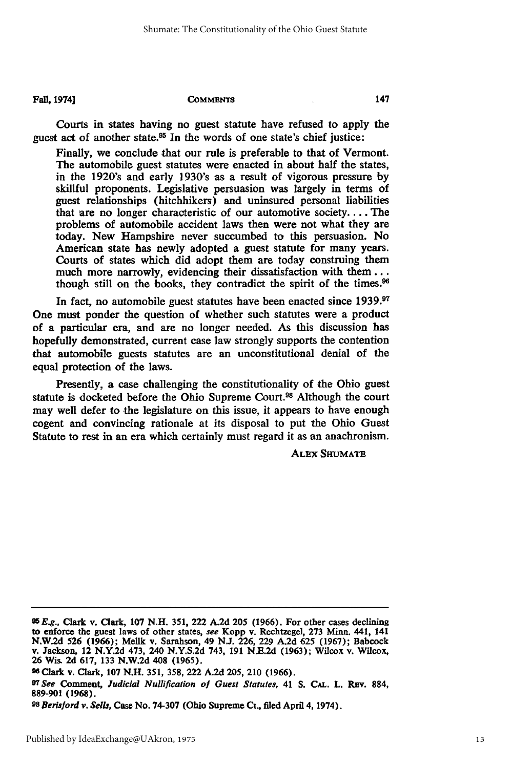#### Fall. 1974] **COMMENTS**

Courts in states having no guest statute have refused to apply the guest act of another state.95 In the words of one state's chief justice:

Finally, we conclude that our rule is preferable to that of Vermont. The automobile guest statutes were enacted in about half the states, in the 1920's and early 1930's as a result of vigorous pressure **by** skillful proponents. Legislative persuasion was largely in terms of guest relationships (hitchhikers) and uninsured personal liabilities that are no longer characteristic of our automotive society.... The problems of automobile accident laws then were not what they are today. New Hampshire never succumbed to this persuasion. No American state has newly adopted a guest statute for many years. Courts of states which did adopt them are today construing them much more narrowly, evidencing their dissatisfaction with **them...** though still on the books, they contradict the spirit of the times.<sup>96</sup>

In fact, no automobile guest statutes have been enacted since **1939.9** One must ponder the question of whether such statutes were a product of a particular era, and are no longer needed. As this discussion has hopefully demonstrated, current case law strongly supports the contention that automobile guests statutes are an unconstitutional denial of the equal protection of the laws.

Presently, a case challenging the constitutionality of the Ohio guest statute is docketed before the Ohio Supreme Court.<sup>98</sup> Although the court may well defer to the legislature on this issue, it appears to have enough cogent and convincing rationale at its disposal to put the Ohio Guest Statute to rest in an era which certainly must regard it as an anachronism.

ALEX **SHUMATE**

**<sup>95</sup>***Eg.,* Clark v. Clark, **107 N.H.** 351, 222 **A.2d** 205 **(1966).** For other cases declining to enforce the guest laws of other states, *see* Kopp v. Rechtzegel, **273** Minn. 441, 141 **N.W.2d 526 (1966);** Mellk v. Sarahson, 49 **N.J. 226,** 229 **A.2d 625 (1967);** Babcock v. Jackson, 12 **N.Y.2d** 473, 240 **N.Y.S.2d** 743, **191 N.E.2d (1963);** Wilcox v. Wilcox, **26** Wis. **2d 617, 133 N.W.2d** 408 **(1965).**

**<sup>96</sup>**Clark v. Clark, **107 N.H. 351, 358,** 222 **A.2d 205,** 210 **(1966).**

**<sup>91</sup>***See* Comment, *Judicial Nullification of Guest Statutes,* 41 **S. CAL.** L. Rav. **884, 889-901 (1968).**

*<sup>9</sup>s Berisford v. Sells,* Case No. **74-307** (Ohio Supreme Ct., filed April 4, 1974).